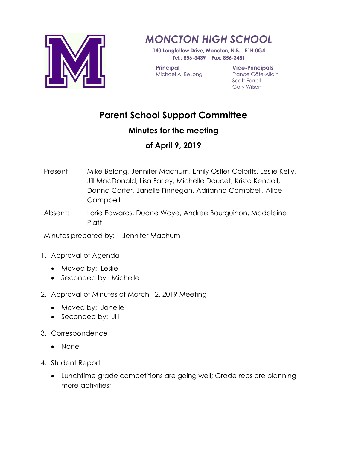

## *MONCTON HIGH SCHOOL*

**140 Longfellow Drive, Moncton, N.B. E1H 0G4 Tel.: 856-3439 Fax: 856-3481**

**Principal** Michael A. BeLong **Vice-Principals** France Côte-Allain Scott Farrell Gary Wilson

## **Parent School Support Committee**

## **Minutes for the meeting**

## **of April 9, 2019**

- Present: Mike Belong, Jennifer Machum, Emily Ostler-Colpitts, Leslie Kelly, Jill MacDonald, Lisa Farley, Michelle Doucet, Krista Kendall, Donna Carter, Janelle Finnegan, Adrianna Campbell, Alice **Campbell**
- Absent: Lorie Edwards, Duane Waye, Andree Bourguinon, Madeleine **Platt**

Minutes prepared by: Jennifer Machum

- 1. Approval of Agenda
	- Moved by: Leslie
	- Seconded by: Michelle
- 2. Approval of Minutes of March 12, 2019 Meeting
	- Moved by: Janelle
	- Seconded by: Jill
- 3. Correspondence
	- None
- 4. Student Report
	- Lunchtime grade competitions are going well; Grade reps are planning more activities;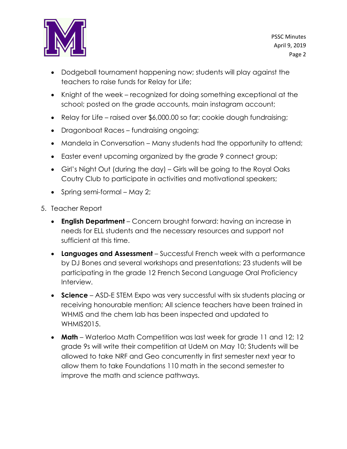

- Dodgeball tournament happening now; students will play against the teachers to raise funds for Relay for Life;
- Knight of the week recognized for doing something exceptional at the school; posted on the grade accounts, main instagram account;
- Relay for Life raised over \$6,000.00 so far; cookie dough fundraising;
- Dragonboat Races fundraising ongoing;
- Mandela in Conversation Many students had the opportunity to attend;
- Easter event upcoming organized by the grade 9 connect group;
- Girl's Night Out (during the day) Girls will be going to the Royal Oaks Coutry Club to participate in activities and motivational speakers;
- Spring semi-formal May 2;
- 5. Teacher Report
	- **English Department** Concern brought forward: having an increase in needs for ELL students and the necessary resources and support not sufficient at this time.
	- **Languages and Assessment** Successful French week with a performance by DJ Bones and several workshops and presentations; 23 students will be participating in the grade 12 French Second Language Oral Proficiency Interview.
	- **Science** ASD-E STEM Expo was very successful with six students placing or receiving honourable mention; All science teachers have been trained in WHMIS and the chem lab has been inspected and updated to WHMIS2015.
	- **Math** Waterloo Math Competition was last week for grade 11 and 12; 12 grade 9s will write their competition at UdeM on May 10; Students will be allowed to take NRF and Geo concurrently in first semester next year to allow them to take Foundations 110 math in the second semester to improve the math and science pathways.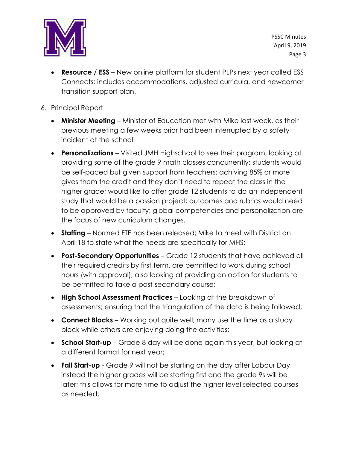

PSSC Minutes April 9, 2019 Page 3

- **Resource / ESS** New online platform for student PLPs next year called ESS Connects; includes accommodations, adjusted curricula, and newcomer transition support plan.
- 6. Principal Report
	- **Minister Meeting** Minister of Education met with Mike last week, as their previous meeting a few weeks prior had been interrupted by a safety incident at the school.
	- **Personalizations** Visited JMH Highschool to see their program; looking at providing some of the grade 9 math classes concurrently; students would be self-paced but given support from teachers; achiving 85% or more gives them the credit and they don't need to repeat the class in the higher grade; would like to offer grade 12 students to do an independent study that would be a passion project; outcomes and rubrics would need to be approved by faculty; global competencies and personalization are the focus of new curriculum changes.
	- **Staffing** Normed FTE has been released; Mike to meet with District on April 18 to state what the needs are specifically for MHS;
	- **Post-Secondary Opportunities** Grade 12 students that have achieved all their required credits by first term, are permitted to work during school hours (with approval); also looking at providing an option for students to be permitted to take a post-secondary course;
	- **High School Assessment Practices** Looking at the breakdown of assessments; ensuring that the triangulation of the data is being followed;
	- **Connect Blocks** Working out quite well; many use the time as a study block while others are enjoying doing the activities;
	- **School Start-up** Grade 8 day will be done again this year, but looking at a different format for next year;
	- **Fall Start-up** Grade 9 will not be starting on the day after Labour Day, instead the higher grades will be starting first and the grade 9s will be later; this allows for more time to adjust the higher level selected courses as needed;